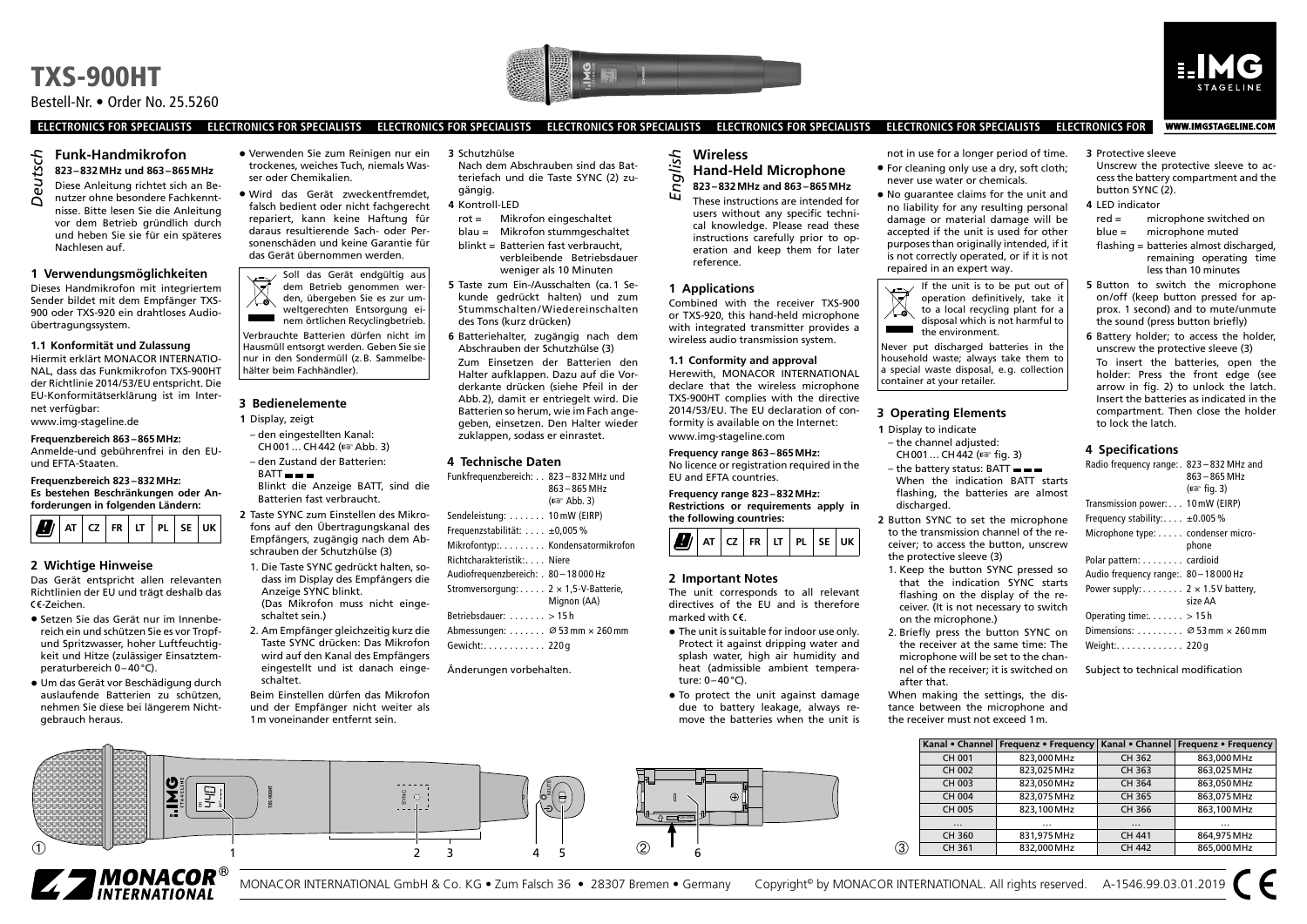# Bestell-Nr. • Order No. 25.5260





WWW.IMGSTAGELINE.COM

**ELECTRONICS FOR SPECIALISTS ELECTRONICS FOR SPECIALISTS ELECTRONICS FOR SPECIALISTS ELECTRONICS FOR SPECIALISTS ELECTRONICS FOR SPECIALISTS ELECTRONICS FOR SPECIALISTS ELECTRONICS FOR**

### **Funk-Handmikrofon 823–832MHz und 863–865MHz**

- Diese Anleitung richtet sich an Be-
- nutzer ohne besondere Fachkenntnisse. Bitte lesen Sie die Anleitung vor dem Betrieb gründlich durch und heben Sie sie für ein späteres Nachlesen auf. *Deutsch*

#### **1 Verwendungsmöglichkeiten**

Dieses Handmikrofon mit integriertem Sender bildet mit dem Empfänger TXS-900 oder TXS-920 ein drahtloses Audioübertragungssystem.

#### **1.1 Konformität und Zulassung**

Hiermit erklärt MONACOR INTERNATIO-NAL, dass das Funkmikrofon TXS-900HT der Richtlinie 2014 /53/EU entspricht. Die EU-Konformitätserklärung ist im Internet verfügbar: [www.img-stageline.de](http://www.img-stageline.de)

### **Frequenzbereich 863–865MHz:**

Anmelde-und gebührenfrei in den EUund EFTA-Staaten.

#### **Frequenzbereich 823–832MHz: Es bestehen Beschränkungen oder Anforderungen in folgenden Ländern:**



#### **2 Wichtige Hinweise**

Das Gerät entspricht allen relevanten Richtlinien der EU und trägt deshalb das -Zeichen.

- Setzen Sie das Gerät nur im Innenbereich ein und schützen Sie es vor Tropfund Spritzwasser, hoher Luftfeuchtigkeit und Hitze (zulässiger Einsatztemperaturbereich 0–40°C).
- Um das Gerät vor Beschädigung durch auslaufende Batterien zu schützen, nehmen Sie diese bei längerem Nichtgebrauch heraus.

#### • Verwenden Sie zum Reinigen nur ein trockenes, weiches Tuch, niemals Wasser oder Chemikalien.

• Wird das Gerät zweckentfremdet, falsch bedient oder nicht fachgerecht repariert, kann keine Haftung für daraus resultierende Sach- oder Personenschäden und keine Garantie für das Gerät übernommen werden.

Soll das Gerät endgültig aus  $\overline{\mathbb{X}}$ dem Betrieb genommen werden, übergeben Sie es zur umweltgerechten Entsorgung einem örtlichen Recyclingbetrieb. Verbrauchte Batterien dürfen nicht im Hausmüll entsorgt werden. Geben Sie sie nur in den Sondermüll (z.B. Sammelbe-

# **3 Bedienelemente**

hälter beim Fachhändler).

- **1** Display, zeigt
- den eingestellten Kanal: CH001… CH442 (☞ Abb. 3)
- den Zustand der Batterien:
- $BATT - -$ Blinkt die Anzeige BATT, sind die Batterien fast verbraucht.

**2** Taste SYNC zum Einstellen des Mikrofons auf den Übertragungskanal des Empfängers, zugängig nach dem Abschrauben der Schutzhülse (3) 1. Die Taste SYNC gedrückt halten, so-

- dass im Display des Empfängers die Anzeige SYNC blinkt. (Das Mikrofon muss nicht eingeschaltet sein.)
- 2. Am Empfänger gleichzeitig kurz die Taste SYNC drücken: Das Mikrofon wird auf den Kanal des Empfängers eingestellt und ist danach eingeschaltet.
- Beim Einstellen dürfen das Mikrofon und der Empfänger nicht weiter als 1m voneinander entfernt sein.

① 1  $\frac{1}{2}$  3 4 5 2

 $\frac{9}{2}$   $\circ$   $\frac{1}{2}$ 

1 2 3 4 5 6

- **3** Schutzhülse Nach dem Abschrauben sind das Bat-
- teriefach und die Taste SYNC (2) zugängig.
- **4** Kontroll-LED
- Mikrofon eingeschaltet blau = Mikrofon stummgeschaltet blinkt = Batterien fast verbraucht,

verbleibende Betriebsdauer weniger als 10 Minuten **5** Taste zum Ein-/Ausschalten (ca.1 Se-

- kunde gedrückt halten) und zum Stummschalten/Wiedereinschalten des Tons (kurz drücken)
- **6** Batteriehalter, zugängig nach dem Abschrauben der Schutzhülse (3) Zum Einsetzen der Batterien den Halter aufklappen. Dazu auf die Vorderkante drücken (siehe Pfeil in der Abb.2), damit er entriegelt wird. Die Batterien so herum, wie im Fach angegeben, einsetzen. Den Halter wieder zuklappen, sodass er einrastet.

#### **4 Technische Daten**

| Funkfrequenzbereich: 823-832 MHz und             |                                |
|--------------------------------------------------|--------------------------------|
|                                                  | $863 - 865$ MHz                |
|                                                  | $( \sqrt{13} \times 4$ Abb. 3) |
| Sendeleistung:  10 mW (EIRP)                     |                                |
| Frequenzstabilität: $\dots$ ±0,005 %             |                                |
| Mikrofontyp: Kondensatormikrofon                 |                                |
| Richtcharakteristik: Niere                       |                                |
| Audiofrequenzbereich: . 80-18 000 Hz             |                                |
| Stromversorgung: 2 $\times$ 1,5-V-Batterie,      |                                |
|                                                  | Mignon (AA)                    |
| Betriebsdauer: $\dots \dots > 15$ h              |                                |
| Abmessungen: $\varnothing$ 53 mm $\times$ 260 mm |                                |
| Gewicht: 220 g                                   |                                |
|                                                  |                                |

∕o<sup>≷</sup>(⊟

Änderungen vorbehalten.

#### **Wireless Hand-Held Microphone 823–832MHz and 863–865MHz** *English*

These instructions are intended for users without any specific technical knowledge. Please read these instructions carefully prior to operation and keep them for later

# reference. **1 Applications**

Combined with the receiver TXS-900 or TXS-920, this hand-held microphone with integrated transmitter provides a wireless audio transmission system.

**1.1 Conformity and approval** Herewith, MONACOR INTERNATIONAL declare that the wireless microphone TXS-900HT complies with the directive 2014 /53/EU. The EU declaration of conformity is available on the Internet: [www.img-stageline.com](http://www.img-stageline.com)

**Frequency range 863–865MHz:** No licence or registration required in the EU and EFTA countries.

#### **Frequency range 823–832MHz:**

**Restrictions or requirements apply in the following countries:**



#### **2 Important Notes**

The unit corresponds to all relevant directives of the EU and is therefore marked with  $\epsilon$ 

- The unit is suitable for indoor use only. Protect it against dripping water and splash water, high air humidity and heat (admissible ambient temperature:  $0-40$ °C).
- To protect the unit against damage due to battery leakage, always remove the batteries when the unit is

#### not in use for a longer period of time. • For cleaning only use a dry, soft cloth;

- never use water or chemicals.
- No guarantee claims for the unit and no liability for any resulting personal damage or material damage will be accepted if the unit is used for other purposes than originally intended, if it is not correctly operated, or if it is not repaired in an expert way.



Never put discharged batteries in the household waste; always take them to a special waste disposal, e.g. collection container at your retailer.

#### **3 Operating Elements**

- **1** Display to indicate
- the channel adjusted:
- CH001… CH442 (☞ fig. 3) – the battery status: BATT When the indication BATT starts flashing, the batteries are almost discharged.
- **2** Button SYNC to set the microphone to the transmission channel of the receiver; to access the button, unscrew the protective sleeve (3)
- 1. Keep the button SYNC pressed so that the indication SYNC starts flashing on the display of the receiver. (It is not necessary to switch on the microphone.)
- 2. Briefly press the button SYNC on the receiver at the same time: The microphone will be set to the channel of the receiver; it is switched on after that.

When making the settings, the distance between the microphone and the receiver must not exceed 1m.

|   |          | Kanal • Channel   Frequenz • Frequency |               | Kanal • Channel   Frequenz • Frequency |
|---|----------|----------------------------------------|---------------|----------------------------------------|
|   | CH 001   | 823.000 MHz                            | CH 362        | 863,000 MHz                            |
|   | CH 002   | 823.025 MHz                            | CH 363        | 863.025 MHz                            |
|   | CH 003   | 823.050 MHz                            | CH 364        | 863.050 MHz                            |
|   | CH 004   | 823.075 MHz                            | CH 365        | 863.075 MHz                            |
|   | CH 005   | 823.100 MHz                            | CH 366        | 863.100 MHz                            |
|   | $\cdots$ | $\cdots$                               | $\cdots$      | $\cdots$                               |
|   | CH 360   | 831.975 MHz                            | CH 441        | 864.975 MHz                            |
| 3 | CH 361   | 832.000 MHz                            | <b>CH 442</b> | 865,000 MHz                            |



**CH BATT**

**TXS-900HT**

 $\bigoplus$ 

PUSH OPEN

**3** Protective sleeve

Unscrew the protective sleeve to access the battery compartment and the button SYNC (2).

**4** LED indicator<br>red =  $\frac{1}{2}$  mig microphone switched on blue = microphone muted flashing = batteries almost discharged, remaining operating time

less than 10 minutes **5** Button to switch the microphone on /off (keep button pressed for approx. 1 second) and to mute/unmute the sound (press button briefly)

**6** Battery holder; to access the holder, unscrew the protective sleeve (3) To insert the batteries, open the holder: Press the front edge (see arrow in fig. 2) to unlock the latch. Insert the batteries as indicated in the compartment. Then close the holder to lock the latch.

#### **4 Specifications**

| Radio frequency range: 823-832 MHz and          |               |
|-------------------------------------------------|---------------|
|                                                 | 863-865 MHz   |
|                                                 | (¤ser fig. 3) |
| Transmission power: 10 mW (EIRP)                |               |
| Frequency stability: $\pm 0.005\%$              |               |
| Microphone type: condenser micro-               |               |
|                                                 | phone         |
| Polar pattern: cardioid                         |               |
| Audio frequency range: 80-18000 Hz              |               |
| Power supply: $2 \times 1.5V$ battery,          |               |
|                                                 | size AA       |
| Operating time: $\dots \dots$ > 15 h            |               |
| Dimensions: $\varnothing$ 53 mm $\times$ 260 mm |               |
| Weight:. 220 g                                  |               |

Subject to technical modification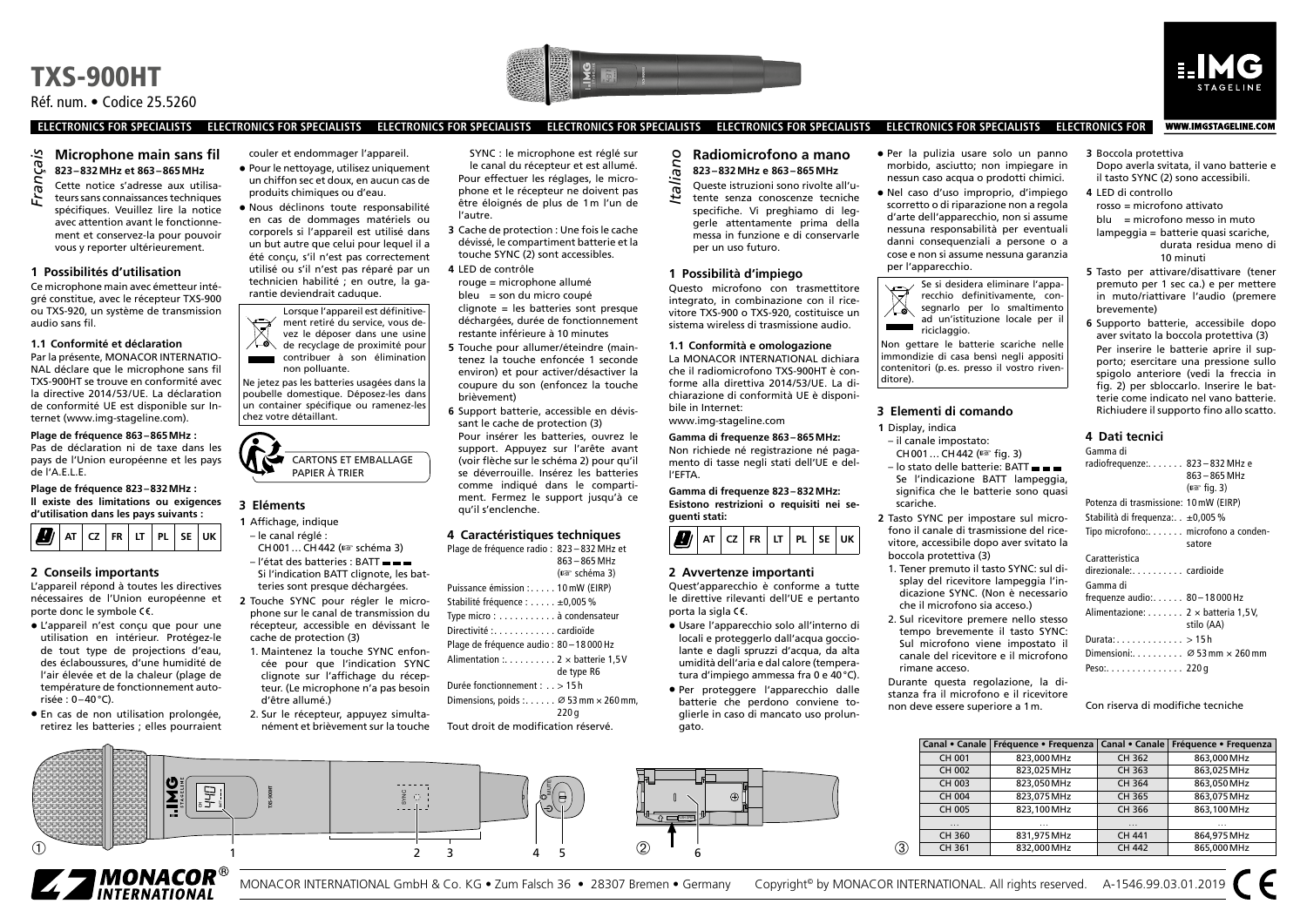





WWW.IMGSTAGELINE.COM

**ELECTRONICS FOR SPECIALISTS ELECTRONICS FOR SPECIALISTS ELECTRONICS FOR SPECIALISTS ELECTRONICS FOR SPECIALISTS ELECTRONICS FOR SPECIALISTS ELECTRONICS FOR SPECIALISTS ELECTRONICS FOR**

### **Microphone main sans fil 823–832MHz et 863–865MHz**

Cette notice s'adresse aux utilisateurs sans connaissances techniques spécifiques. Veuillez lire la notice avec attention avant le fonctionnement et conservez-la pour pouvoir vous y reporter ultérieurement. *Français*

#### **1 Possibilités d'utilisation**

Ce microphone main avec émetteur intégré constitue, avec le récepteur TXS-900 ou TXS-920, un système de transmission audio sans fil.

#### **1.1 Conformité et déclaration**

Par la présente, MONACOR INTERNATIO-NAL déclare que le microphone sans fil TXS-900HT se trouve en conformité avec la directive 2014/53/UE. La déclaration de conformité UE est disponible sur Internet ([www.img-stageline.com\)](http://www.img-stageline.com).

**Plage de fréquence 863–865MHz :** Pas de déclaration ni de taxe dans les pays de l'Union européenne et les pays de l'A.E.L.E.

**Plage de fréquence 823–832MHz : ll existe des limitations ou exigences d'utilisation dans les pays suivants :**



# **2 Conseils importants**

L'appareil répond à toutes les directives nécessaires de l'Union européenne et porte donc le symbole CE.

- L'appareil n'est conçu que pour une utilisation en intérieur. Protégez-le de tout type de projections d'eau, des éclaboussures, d'une humidité de l'air élevée et de la chaleur (plage de température de fonctionnement autorisée : 0–40°C).
- En cas de non utilisation prolongée, retirez les batteries ; elles pourraient

**CH BATT**

couler et endommager l'appareil.

• Pour le nettoyage, utilisez uniquement un chiffon sec et doux, en aucun cas de produits chimiques ou d'eau.

• Nous déclinons toute responsabilité en cas de dommages matériels ou corporels si l'appareil est utilisé dans un but autre que celui pour lequel il a été conçu, s'il n'est pas correctement utilisé ou s'il n'est pas réparé par un technicien habilité ; en outre, la garantie deviendrait caduque.

Lorsque l'appareil est définitive- $\bigotimes$ ment retiré du service, vous devez le déposer dans une usine de recyclage de proximité pour contribuer à son élimination non polluante.

Ne jetez pas les batteries usagées dans la poubelle domestique. Déposez-les dans un container spécifique ou ramenez-les chez votre détaillant.



#### **3 Eléments**

**TXS-900HT**

- **1** Affichage, indique
- le canal réglé : CH001… CH442 (☞ schéma 3) – l'état des batteries : BATT
- Si l'indication BATT clignote, les batteries sont presque déchargées.
- **2** Touche SYNC pour régler le microphone sur le canal de transmission du récepteur, accessible en dévissant le cache de protection (3)
- 1. Maintenez la touche SYNC enfoncée pour que l'indication SYNC clignote sur l'affichage du récepteur. (Le microphone n'a pas besoin d'être allumé.)
- 2. Sur le récepteur, appuyez simultanément et brièvement sur la touche

① 1  $\frac{1}{2}$  3 4 5 2

 $\frac{9}{2}$   $\circ$   $\frac{1}{2}$ 

1 2 3 4 5 6

SYNC : le microphone est réglé sur le canal du récepteur et est allumé. Pour effectuer les réglages, le microphone et le récepteur ne doivent pas être éloignés de plus de 1m l'un de l'autre.

- **3** Cache de protection : Une fois le cache dévissé, le compartiment batterie et la touche SYNC (2) sont accessibles.
- **4** LED de contrôle rouge = microphone allumé  $bleu = son du micro couple$ clignote = les batteries sont presque

déchargées, durée de fonctionnement restante inférieure à 10 minutes

- **5** Touche pour allumer/éteindre (maintenez la touche enfoncée 1 seconde environ) et pour activer/désactiver la coupure du son (enfoncez la touche brièvement)
- **6** Support batterie, accessible en dévissant le cache de protection (3) Pour insérer les batteries, ouvrez le support. Appuyez sur l'arête avant (voir flèche sur le schéma 2) pour qu'il se déverrouille. Insérez les batteries comme indiqué dans le compartiment. Fermez le support jusqu'à ce qu'il s'enclenche.

### **4 Caractéristiques techniques**

| Plage de fréquence radio : 823 - 832 MHz et              | $863 - 865$ MHz<br>(ror schéma 3) |
|----------------------------------------------------------|-----------------------------------|
| Puissance émission : 10 mW (EIRP)                        |                                   |
| Stabilité fréquence : ±0,005 %                           |                                   |
| Type micro: à condensateur                               |                                   |
| Directivité : cardioïde                                  |                                   |
| Plage de fréquence audio: 80-18000 Hz                    |                                   |
| Alimentation : 2 x batterie 1.5V                         | de type R6                        |
| Durée fonctionnement : > 15 h                            |                                   |
| Dimensions, poids : $\varnothing$ 53 mm $\times$ 260 mm, | 220 a                             |
| Tout droit de modification réservé.                      |                                   |

 $\frac{1}{\sqrt{2}}$ 

# **Radiomicrofono a mano 823–832MHz e 863–865MHz**

Queste istruzioni sono rivolte all'utente senza conoscenze tecniche specifiche. Vi preghiamo di leggerle attentamente prima della messa in funzione e di conservarle per un uso futuro. *Italiano*

#### **1 Possibilità d'impiego** Questo microfono con trasmettitore

integrato, in combinazione con il ricevitore TXS-900 o TXS-920, costituisce un sistema wireless di trasmissione audio.

#### **1.1 Conformità e omologazione**

La MONACOR INTERNATIONAL dichiara che il radiomicrofono TXS-900HT è conforme alla direttiva 2014 /53/UE. La dichiarazione di conformità UE è disponibile in Internet:

[www.img-stageline.com](http://www.img-stageline.com) **Gamma di frequenze 863–865MHz:** Non richiede né registrazione né pagamento di tasse negli stati dell'UE e del-

**Gamma di frequenze 823–832MHz: Esistono restrizioni o requisiti nei se-**

# **2 Avvertenze importanti**

# Quest'apparecchio è conforme a tutte

le direttive rilevanti dell'UE e pertanto porta la sigla  $\zeta \zeta$ .

- Usare l'apparecchio solo all'interno di locali e proteggerlo dall'acqua gocciolante e dagli spruzzi d'acqua, da alta umidità dell'aria e dal calore (temperatura d'impiego ammessa fra 0 e 40°C).
- Per proteggere l'apparecchio dalle batterie che perdono conviene toglierle in caso di mancato uso prolungato.
- Per la pulizia usare solo un panno morbido, asciutto; non impiegare in nessun caso acqua o prodotti chimici.
- Nel caso d'uso improprio, d'impiego scorretto o di riparazione non a regola d'arte dell'apparecchio, non si assume nessuna responsabilità per eventuali danni consequenziali a persone o a cose e non si assume nessuna garanzia per l'apparecchio.



Non gettare le batterie scariche nelle immondizie di casa bensì negli appositi contenitori (p.es. presso il vostro rivenditore).

#### **3 Elementi di comando**

- **1** Display, indica – il canale impostato: CH001… CH442 (☞ fig. 3)
- lo stato delle batterie: BATT Se l'indicazione BATT lampeggia, significa che le batterie sono quasi scariche.
- **2** Tasto SYNC per impostare sul microfono il canale di trasmissione del ricevitore, accessibile dopo aver svitato la boccola protettiva (3)
- 1. Tener premuto il tasto SYNC: sul display del ricevitore lampeggia l'indicazione SYNC. (Non è necessario che il microfono sia acceso.)
- 2. Sul ricevitore premere nello stesso tempo brevemente il tasto SYNC: Sul microfono viene impostato il canale del ricevitore e il microfono rimane acceso. Durante questa regolazione, la di-

stanza fra il microfono e il ricevitore non deve essere superiore a 1m.

**3** Boccola protettiva

- Dopo averla svitata, il vano batterie e il tasto SYNC (2) sono accessibili. **4** LED di controllo
- rosso = microfono attivato

 $blu = microfono$  messo in muto

- lampeggia = batterie quasi scariche, durata residua meno di 10 minuti
- **5** Tasto per attivare /disattivare (tener premuto per 1 sec ca.) e per mettere in muto /riattivare l'audio (premere brevemente)
- **6** Supporto batterie, accessibile dopo aver svitato la boccola protettiva (3) Per inserire le batterie aprire il supporto; esercitare una pressione sullo spigolo anteriore (vedi la freccia in fig. 2) per sbloccarlo. Inserire le batterie come indicato nel vano batterie. Richiudere il supporto fino allo scatto.

#### **4 Dati tecnici** Gamma di

| \14!!!!!!d \!!                                              |              |
|-------------------------------------------------------------|--------------|
| radiofrequenze:. 823 - 832 MHz e                            | 863-865 MHz  |
|                                                             | (∎se fig. 3) |
| Potenza di trasmissione: 10 mW (EIRP)                       |              |
| Stabilità di frequenza: . ±0,005 %                          |              |
| Tipo microfono: microfono a conden-                         | satore       |
| Caratteristica                                              |              |
| direzionale: cardioide                                      |              |
| Gamma di                                                    |              |
| frequenze audio:. 80 - 18 000 Hz                            |              |
| Alimentazione: 2 x batteria 1.5V.                           | stilo (AA)   |
| Durata: > 15h                                               |              |
| Dimensioni: $\dots$ , , $\varnothing$ 53 mm $\times$ 260 mm |              |
| Peso:. 220 g                                                |              |
|                                                             |              |

Con riserva di modifiche tecniche

|   |        | Canal • Canale   Fréquence • Frequenza |          | Canal • Canale Fréquence • Frequenza |
|---|--------|----------------------------------------|----------|--------------------------------------|
|   | CH 001 | 823.000 MHz                            | CH 362   | 863,000 MHz                          |
|   | CH 002 | 823.025 MHz                            | CH 363   | 863.025 MHz                          |
|   | CH 003 | 823.050 MHz                            | CH 364   | 863.050 MHz                          |
|   | CH 004 | 823.075 MHz                            | CH 365   | 863.075 MHz                          |
|   | CH 005 | 823.100 MHz                            | CH 366   | 863,100 MHz                          |
|   | 1.1.1  | $\cdots$                               | $\cdots$ | $\cdots$                             |
|   | CH 360 | 831.975 MHz                            | CH 441   | 864.975 MHz                          |
| 3 | CH 361 | 832.000 MHz                            | CH 442   | 865,000 MHz                          |



MONACOR INTERNATIONAL GmbH & Co. KG • Zum Falsch 36 • 28307 Bremen • Germany Copyright® by MONACOR INTERNATIONAL. All rights reserved. A-1546.99.03.01.2019

PUSH OPEN



**guenti stati:**

l'EFTA.

**AT CZ FR LT PL SE UK**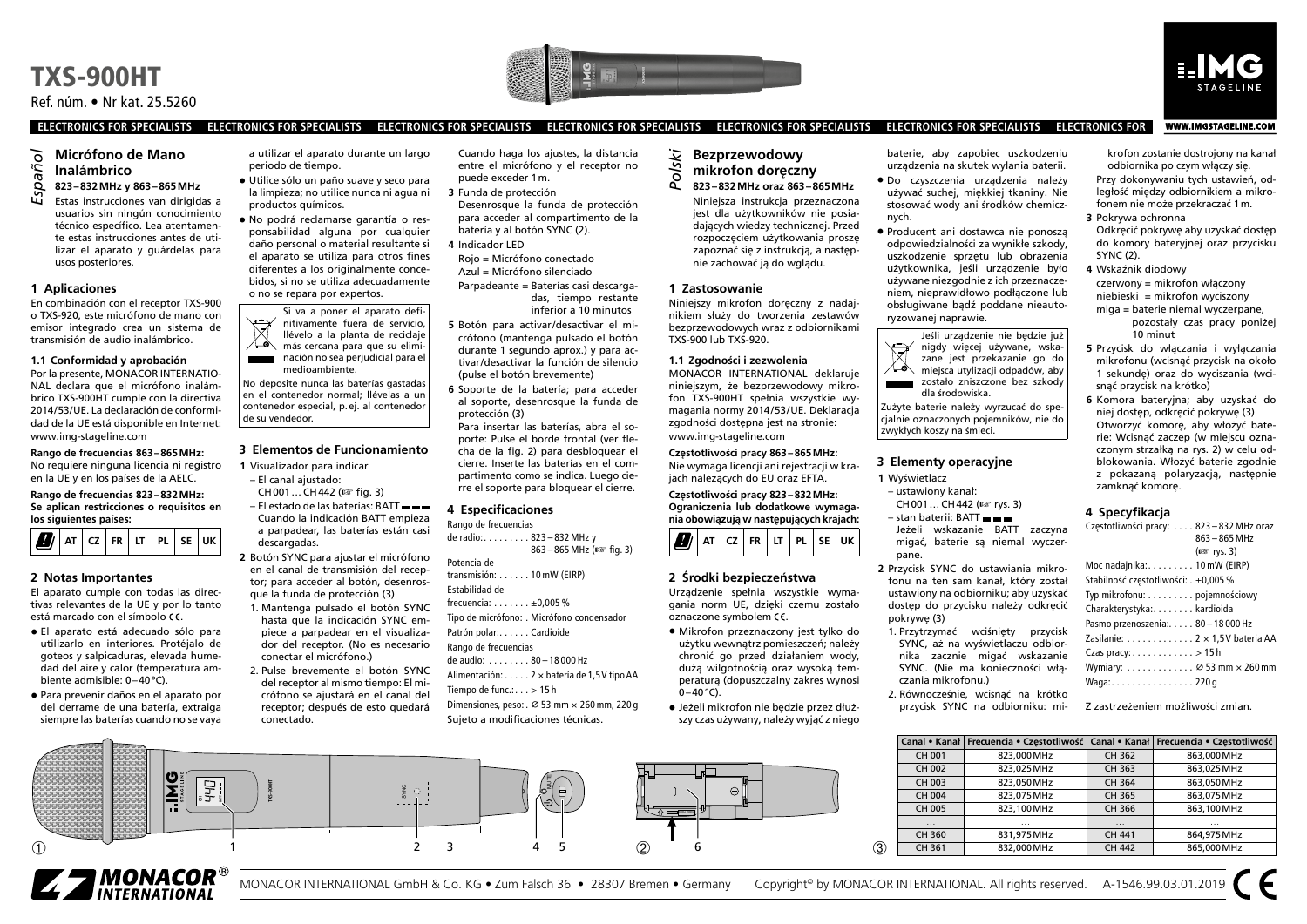



WWW.IMGSTAGELINE.COM

**ELECTRONICS FOR SPECIALISTS ELECTRONICS FOR SPECIALISTS ELECTRONICS FOR SPECIALISTS ELECTRONICS FOR SPECIALISTS ELECTRONICS FOR SPECIALISTS ELECTRONICS FOR SPECIALISTS ELECTRONICS FOR**

# **Micrófono de Mano Inalámbrico** *Español*

**823–832MHz y 863–865MHz** Estas instrucciones van dirigidas a usuarios sin ningún conocimiento técnico específico. Lea atentamente estas instrucciones antes de utilizar el aparato y guárdelas para usos posteriores.

#### **1 Aplicaciones**

En combinación con el receptor TXS-900 o TXS-920, este micrófono de mano con emisor integrado crea un sistema de transmisión de audio inalámbrico.

#### **1.1 Conformidad y aprobación**

Por la presente, MONACOR INTERNATIO-NAL declara que el micrófono inalámbrico TXS-900HT cumple con la directiva 2014/53/UE. La declaración de conformidad de la UE está disponible en Internet: [www.img-stageline.com](http://www.img-stageline.com)

**Rango de frecuencias 863–865MHz:** No requiere ninguna licencia ni registro en la UE y en los países de la AELC.

#### **Rango de frecuencias 823–832MHz: Se aplican restricciones o requisitos en los siguientes países:**



#### **2 Notas Importantes**

El aparato cumple con todas las directivas relevantes de la UE y por lo tanto está marcado con el símbolo CE.

- El aparato está adecuado sólo para utilizarlo en interiores. Protéjalo de goteos y salpicaduras, elevada humedad del aire y calor (temperatura ambiente admisible: 0–40ºC).
- Para prevenir daños en el aparato por del derrame de una batería, extraiga siempre las baterías cuando no se vaya

a utilizar el aparato durante un largo periodo de tiempo.

- Utilice sólo un paño suave y seco para la limpieza; no utilice nunca ni agua ni productos químicos.
- No podrá reclamarse garantía o responsabilidad alguna por cualquier daño personal o material resultante si el aparato se utiliza para otros fines diferentes a los originalmente concebidos, si no se utiliza adecuadamente o no se repara por expertos.

Si va a poner el aparato defi- $\forall$ nitivamente fuera de servicio, llévelo a la planta de reciclaje ⋌⋋ más cercana para que su eliminación no sea perjudicial para el مست medioambiente.

No deposite nunca las baterías gastadas en el contenedor normal; llévelas a un contenedor especial, p.ej. al contenedor de su vendedor.

#### **3 Elementos de Funcionamiento**

- **1** Visualizador para indicar – El canal ajustado:
- CH001… CH442 (☞ fig. 3) – El estado de las baterías: BATT
- Cuando la indicación BATT empieza a parpadear, las baterías están casi descargadas.
- **2** Botón SYNC para ajustar el micrófono en el canal de transmisión del receptor; para acceder al botón, desenrosque la funda de protección (3)
- 1. Mantenga pulsado el botón SYNC hasta que la indicación SYNC empiece a parpadear en el visualizador del receptor. (No es necesario conectar el micrófono.)
- 2. Pulse brevemente el botón SYNC del receptor al mismo tiempo: El micrófono se ajustará en el canal del receptor; después de esto quedará conectado.

 $\frac{1}{2}$   $\frac{1}{2}$   $\frac{1}{2}$   $\frac{1}{2}$   $\frac{1}{2}$   $\frac{1}{2}$   $\frac{1}{2}$   $\frac{1}{2}$   $\frac{1}{2}$   $\frac{1}{2}$   $\frac{1}{2}$   $\frac{1}{2}$   $\frac{1}{2}$   $\frac{1}{2}$   $\frac{1}{2}$   $\frac{1}{2}$   $\frac{1}{2}$   $\frac{1}{2}$   $\frac{1}{2}$   $\frac{1}{2}$   $\frac{1}{2}$   $\frac{1}{2}$ 

**TXS-900HT**

Cuando haga los ajustes, la distancia entre el micrófono y el receptor no puede exceder 1m.

- **3** Funda de protección
- Desenrosque la funda de protección para acceder al compartimento de la batería y al botón SYNC (2).
- **4** Indicador LED
- Rojo = Micrófono conectado Azul = Micrófono silenciado
- Parpadeante = Baterías casi descargadas, tiempo restante inferior a 10 minutos
- **5** Botón para activar /desactivar el micrófono (mantenga pulsado el botón durante 1 segundo aprox.) y para activar /desactivar la función de silencio (pulse el botón brevemente)
- **6** Soporte de la batería; para acceder al soporte, desenrosque la funda de protección (3)

Para insertar las baterías, abra el soporte: Pulse el borde frontal (ver flecha de la fig. 2) para desbloquear el cierre. Inserte las baterías en el compartimento como se indica. Luego cierre el soporte para bloquear el cierre.

#### **4 Especificaciones**

Rango de frecuencias de radio: . . . . . . . . . 823 – 832 MHz y

 $863 - 865$  MHz ( $\sqrt{8}$  fig. 3) Potencia de

- transmisión: . . . . . . 10 mW (EIRP) Estabilidad de
- frecuencia:  $\dots \dots \pm 0,005$  %
- Tipo de micrófono: � Micrófono condensador Patrón polar:...... Cardioide
- Rango de frecuencias

1 2 3 4 5 (2) 6

- de audio: ........ 80-18 000 Hz
- Alimentación: . . . . . 2 × batería de 1.5 V tipo AA
- Tiempo de func.: $\ldots$  > 15 h Dimensiones, peso:  $\varnothing$  53 mm  $\times$  260 mm, 220 g
- Sujeto a modificaciones técnicas.

#### **Bezprzewodowy mikrofon doręczny 823–832MHz oraz 863–865MHz** *Polski*

Niniejsza instrukcja przeznaczona jest dla użytkowników nie posiadających wiedzy technicznej. Przed rozpoczęciem użytkowania proszę zapoznać się z instrukcją, a następnie zachować ją do wglądu.

#### **1 Zastosowanie**

Niniejszy mikrofon doręczny z nadajnikiem służy do tworzenia zestawów bezprzewodowych wraz z odbiornikami TXS-900 lub TXS-920.

#### **1.1 Zgodności i zezwolenia**

MONACOR INTERNATIONAL deklaruje niniejszym, że bezprzewodowy mikrofon TXS-900HT spełnia wszystkie wymagania normy 2014/53/UE. Deklaracja zgodności dostępna jest na stronie: [www.img-stageline.com](http://www.img-stageline.com)

**Częstotliwości pracy 863–865MHz:** Nie wymaga licencji ani rejestracji w krajach należących do EU oraz EFTA.

**Częstotliwości pracy 823–832MHz: Ograniczenia lub dodatkowe wymagania obowiązują w następujących krajach:**



#### **2 Środki bezpieczeństwa**

Urządzenie spełnia wszystkie wymagania norm UE, dzięki czemu zostało oznaczone symbolem  $\epsilon$ .

- Mikrofon przeznaczony jest tylko do użytku wewnątrz pomieszczeń; należy chronić go przed działaniem wody, dużą wilgotnością oraz wysoką temperaturą (dopuszczalny zakres wynosi  $0-40$  °C).
- Jeżeli mikrofon nie będzie przez dłuższy czas używany, należy wyjąć z niego

baterie, aby zapobiec uszkodzeniu urządzenia na skutek wylania baterii.

- Do czyszczenia urządzenia należy używać suchej, miękkiej tkaniny. Nie stosować wody ani środków chemicznych.
- Producent ani dostawca nie ponoszą odpowiedzialności za wynikłe szkody, uszkodzenie sprzętu lub obrażenia użytkownika, jeśli urządzenie było używane niezgodnie z ich przeznaczeniem, nieprawidłowo podłączone lub obsługiwane bądź poddane nieautoryzowanej naprawie.



Zużyte baterie należy wyrzucać do specjalnie oznaczonych pojemników, nie do zwykłych koszy na śmieci.

# **3 Elementy operacyjne**

- **1** Wyświetlacz
- ustawiony kanał: CH001… CH442 (☞ rys. 3) – stan baterii: BATT
- Jeżeli wskazanie BATT zaczyna migać, baterie są niemal wyczerpane.
- **2** Przycisk SYNC do ustawiania mikrofonu na ten sam kanał, który został ustawiony na odbiorniku; aby uzyskać dostęp do przycisku należy odkręcić pokrywę (3)
- 1. Przytrzymać wciśnięty przycisk SYNC, aż na wyświetlaczu odbiornika zacznie migać wskazanie SYNC. (Nie ma konieczności włączania mikrofonu.)
- 2. Równocześnie, wcisnąć na krótko przycisk SYNC na odbiorniku: mi-

krofon zostanie dostrojony na kanał odbiornika po czym włączy się.

Przy dokonywaniu tych ustawień, odległość między odbiornikiem a mikrofonem nie może przekraczać 1m.

- **3** Pokrywa ochronna Odkręcić pokrywę aby uzyskać dostęp do komory bateryjnej oraz przycisku SYNC (2).
- **4** Wskaźnik diodowy czerwony = mikrofon włączony niebieski = mikrofon wyciszony miga = baterie niemal wyczerpane,
	- pozostały czas pracy poniżej 10 minut
- **5** Przycisk do włączania i wyłączania mikrofonu (wcisnąć przycisk na około 1 sekundę) oraz do wyciszania (wcisnąć przycisk na krótko)
- **6** Komora bateryjna; aby uzyskać do niej dostęp, odkręcić pokrywę (3) Otworzyć komorę, aby włożyć baterie: Wcisnąć zaczep (w miejscu oznaczonym strzałką na rys. 2) w celu odblokowania. Włożyć baterie zgodnie z pokazaną polaryzacją, następnie zamknąć komorę.

#### **4 Specyfikacja**

| Częstotliwości pracy:  823-832 MHz oraz                          |                      |
|------------------------------------------------------------------|----------------------|
|                                                                  | $863 - 865$ MHz      |
|                                                                  | $(x \otimes rys. 3)$ |
| Moc nadajnika: 10 mW (EIRP)                                      |                      |
| Stabilność częstotliwości: . ±0,005 %                            |                      |
| Typ mikrofonu: pojemnościowy                                     |                      |
| Charakterystyka: kardioida                                       |                      |
| Pasmo przenoszenia: 80 - 18 000 Hz                               |                      |
| Zasilanie: 2 x 1,5V bateria AA                                   |                      |
| Czas pracy:>15h                                                  |                      |
| Wymiary: $\dots$ , $\dots$ , $\varnothing$ 53 mm $\times$ 260 mm |                      |
| Waga:220 g                                                       |                      |
|                                                                  |                      |

Z zastrzeżeniem możliwości zmian.

|             |          | Canal • Kanał   Frecuencia • Czestotliwość   Canal • Kanał   Frecuencia • Czestotliwość |          |             |
|-------------|----------|-----------------------------------------------------------------------------------------|----------|-------------|
|             | CH 001   | 823.000 MHz                                                                             | CH 362   | 863.000 MHz |
|             | CH 002   | 823.025 MHz                                                                             | CH 363   | 863.025 MHz |
|             | CH 003   | 823.050 MHz                                                                             | CH 364   | 863.050 MHz |
|             | CH 004   | 823.075 MHz                                                                             | CH 365   | 863.075 MHz |
|             | CH 005   | 823.100 MHz                                                                             | CH 366   | 863.100 MHz |
|             | $\cdots$ | $\cdots$                                                                                | $\cdots$ | $\cdots$    |
|             | CH 360   | 831.975 MHz                                                                             | CH 441   | 864.975 MHz |
| $\circledS$ | CH 361   | 832.000 MHz                                                                             | CH 442   | 865.000 MHz |



MONACOR INTERNATIONAL GmbH & Co. KG • Zum Falsch 36 • 28307 Bremen • Germany Copyright® by MONACOR INTERNATIONAL. All rights reserved. A-1546.99.03.01.2019

PUSH OPEN